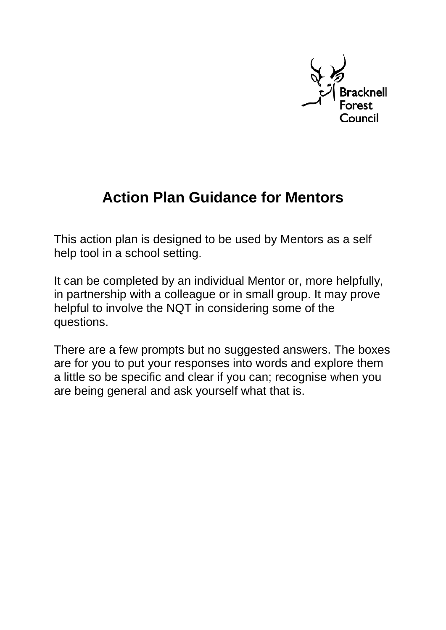

# **Action Plan Guidance for Mentors**

This action plan is designed to be used by Mentors as a self help tool in a school setting.

It can be completed by an individual Mentor or, more helpfully, in partnership with a colleague or in small group. It may prove helpful to involve the NQT in considering some of the questions.

There are a few prompts but no suggested answers. The boxes are for you to put your responses into words and explore them a little so be specific and clear if you can; recognise when you are being general and ask yourself what that is.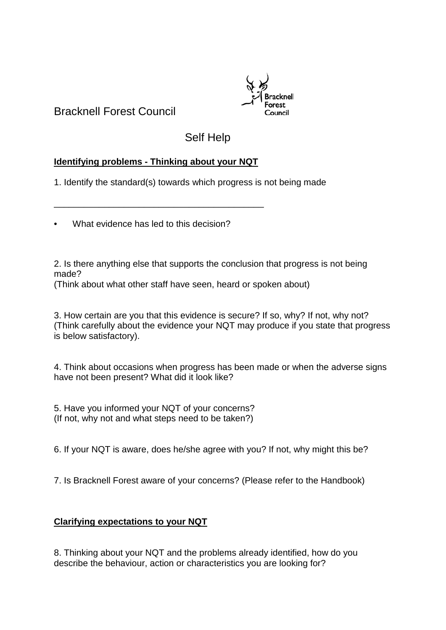Bracknell Forest Council



# Self Help

## **Identifying problems - Thinking about your NQT**

\_\_\_\_\_\_\_\_\_\_\_\_\_\_\_\_\_\_\_\_\_\_\_\_\_\_\_\_\_\_\_\_\_\_\_\_\_\_\_\_\_\_

1. Identify the standard(s) towards which progress is not being made

• What evidence has led to this decision?

2. Is there anything else that supports the conclusion that progress is not being made?

(Think about what other staff have seen, heard or spoken about)

3. How certain are you that this evidence is secure? If so, why? If not, why not? (Think carefully about the evidence your NQT may produce if you state that progress is below satisfactory).

4. Think about occasions when progress has been made or when the adverse signs have not been present? What did it look like?

5. Have you informed your NQT of your concerns? (If not, why not and what steps need to be taken?)

6. If your NQT is aware, does he/she agree with you? If not, why might this be?

7. Is Bracknell Forest aware of your concerns? (Please refer to the Handbook)

## **Clarifying expectations to your NQT**

8. Thinking about your NQT and the problems already identified, how do you describe the behaviour, action or characteristics you are looking for?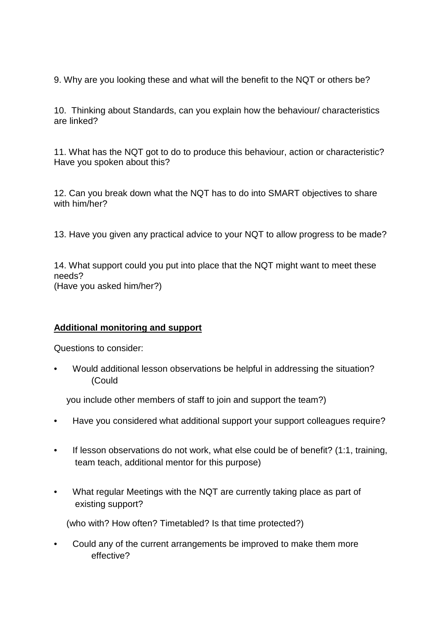9. Why are you looking these and what will the benefit to the NQT or others be?

10. Thinking about Standards, can you explain how the behaviour/ characteristics are linked?

11. What has the NQT got to do to produce this behaviour, action or characteristic? Have you spoken about this?

12. Can you break down what the NQT has to do into SMART objectives to share with him/her?

13. Have you given any practical advice to your NQT to allow progress to be made?

14. What support could you put into place that the NQT might want to meet these needs? (Have you asked him/her?)

#### **Additional monitoring and support**

Questions to consider:

• Would additional lesson observations be helpful in addressing the situation? (Could

you include other members of staff to join and support the team?)

- Have you considered what additional support your support colleagues require?
- If lesson observations do not work, what else could be of benefit? (1:1, training, team teach, additional mentor for this purpose)
- What regular Meetings with the NQT are currently taking place as part of existing support?

(who with? How often? Timetabled? Is that time protected?)

• Could any of the current arrangements be improved to make them more effective?